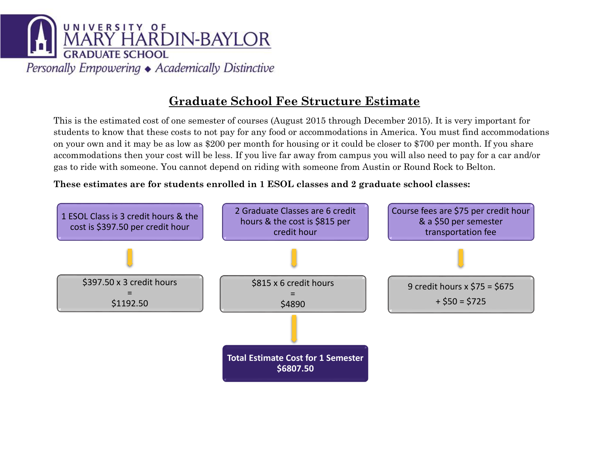

This is the estimated cost of one semester of courses (August 2015 through December 2015). It is very important for students to know that these costs to not pay for any food or accommodations in America. You must find accommodations on your own and it may be as low as \$200 per month for housing or it could be closer to \$700 per month. If you share accommodations then your cost will be less. If you live far away from campus you will also need to pay for a car and/or gas to ride with someone. You cannot depend on riding with someone from Austin or Round Rock to Belton.

**These estimates are for students enrolled in 1 ESOL classes and 2 graduate school classes:**

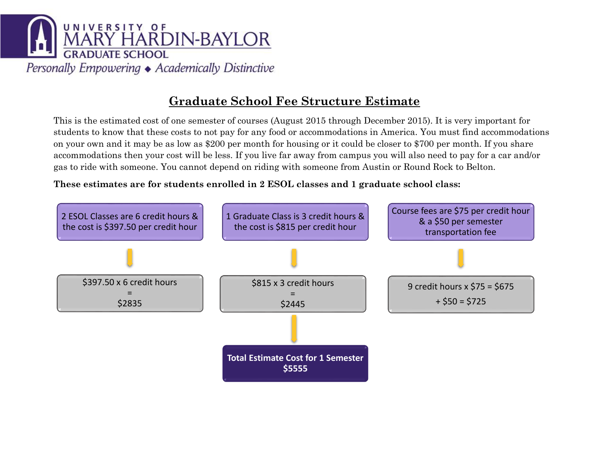

This is the estimated cost of one semester of courses (August 2015 through December 2015). It is very important for students to know that these costs to not pay for any food or accommodations in America. You must find accommodations on your own and it may be as low as \$200 per month for housing or it could be closer to \$700 per month. If you share accommodations then your cost will be less. If you live far away from campus you will also need to pay for a car and/or gas to ride with someone. You cannot depend on riding with someone from Austin or Round Rock to Belton.

**These estimates are for students enrolled in 2 ESOL classes and 1 graduate school class:**

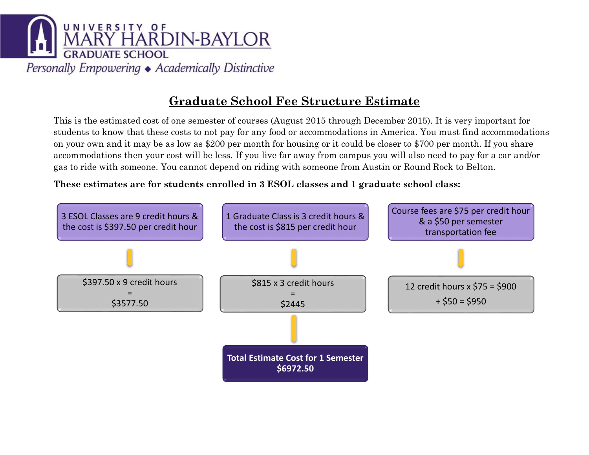

This is the estimated cost of one semester of courses (August 2015 through December 2015). It is very important for students to know that these costs to not pay for any food or accommodations in America. You must find accommodations on your own and it may be as low as \$200 per month for housing or it could be closer to \$700 per month. If you share accommodations then your cost will be less. If you live far away from campus you will also need to pay for a car and/or gas to ride with someone. You cannot depend on riding with someone from Austin or Round Rock to Belton.

**These estimates are for students enrolled in 3 ESOL classes and 1 graduate school class:**